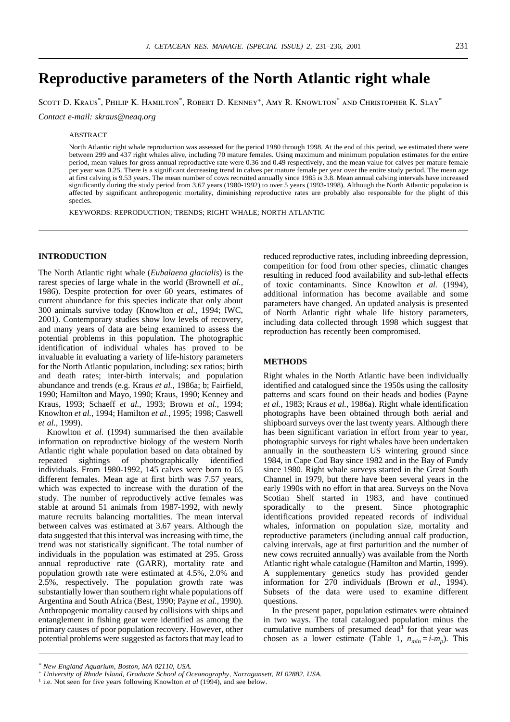# **Reproductive parameters of the North Atlantic right whale**

Scott D. Kraus\* , Philip K. Hamilton\* , Robert D. Kenney+ , Amy R. Knowlton\* and Christopher K. Slay\*

*Contact e-mail: skraus@neaq.org*

# ABSTRACT

North Atlantic right whale reproduction was assessed for the period 1980 through 1998. At the end of this period, we estimated there were between 299 and 437 right whales alive, including 70 mature females. Using maximum and minimum population estimates for the entire period, mean values for gross annual reproductive rate were 0.36 and 0.49 respectively, and the mean value for calves per mature female per year was 0.25. There is a significant decreasing trend in calves per mature female per year over the entire study period. The mean age at first calving is 9.53 years. The mean number of cows recruited annually since 1985 is 3.8. Mean annual calving intervals have increased significantly during the study period from 3.67 years (1980-1992) to over 5 years (1993-1998). Although the North Atlantic population is affected by significant anthropogenic mortality, diminishing reproductive rates are probably also responsible for the plight of this species.

KEYWORDS: REPRODUCTION; TRENDS; RIGHT WHALE; NORTH ATLANTIC

# **INTRODUCTION**

The North Atlantic right whale (*Eubalaena glacialis*) is the rarest species of large whale in the world (Brownell *et al.*, 1986). Despite protection for over 60 years, estimates of current abundance for this species indicate that only about 300 animals survive today (Knowlton *et al.*, 1994; IWC, 2001). Contemporary studies show low levels of recovery, and many years of data are being examined to assess the potential problems in this population. The photographic identification of individual whales has proved to be invaluable in evaluating a variety of life-history parameters for the North Atlantic population, including: sex ratios; birth and death rates; inter-birth intervals; and population abundance and trends (e.g. Kraus *et al.*, 1986a; b; Fairfield, 1990; Hamilton and Mayo, 1990; Kraus, 1990; Kenney and Kraus, 1993; Schaeff *et al.*, 1993; Brown *et al.*, 1994; Knowlton *et al.*, 1994; Hamilton *et al.*, 1995; 1998; Caswell *et al.*, 1999).

Knowlton *et al.* (1994) summarised the then available information on reproductive biology of the western North Atlantic right whale population based on data obtained by repeated sightings of photographically identified individuals. From 1980-1992, 145 calves were born to 65 different females. Mean age at first birth was 7.57 years, which was expected to increase with the duration of the study. The number of reproductively active females was stable at around 51 animals from 1987-1992, with newly mature recruits balancing mortalities. The mean interval between calves was estimated at 3.67 years. Although the data suggested that this interval was increasing with time, the trend was not statistically significant. The total number of individuals in the population was estimated at 295. Gross annual reproductive rate (GARR), mortality rate and population growth rate were estimated at 4.5%, 2.0% and 2.5%, respectively. The population growth rate was substantially lower than southern right whale populations off Argentina and South Africa (Best, 1990; Payne *et al.*, 1990). Anthropogenic mortality caused by collisions with ships and entanglement in fishing gear were identified as among the primary causes of poor population recovery. However, other potential problems were suggested as factors that may lead to reduced reproductive rates, including inbreeding depression, competition for food from other species, climatic changes resulting in reduced food availability and sub-lethal effects of toxic contaminants. Since Knowlton *et al.* (1994), additional information has become available and some parameters have changed. An updated analysis is presented of North Atlantic right whale life history parameters, including data collected through 1998 which suggest that reproduction has recently been compromised.

# **METHODS**

Right whales in the North Atlantic have been individually identified and catalogued since the 1950s using the callosity patterns and scars found on their heads and bodies (Payne *et al.*, 1983; Kraus *et al.*, 1986a). Right whale identification photographs have been obtained through both aerial and shipboard surveys over the last twenty years. Although there has been significant variation in effort from year to year, photographic surveys for right whales have been undertaken annually in the southeastern US wintering ground since 1984, in Cape Cod Bay since 1982 and in the Bay of Fundy since 1980. Right whale surveys started in the Great South Channel in 1979, but there have been several years in the early 1990s with no effort in that area. Surveys on the Nova Scotian Shelf started in 1983, and have continued sporadically to the present. Since photographic identifications provided repeated records of individual whales, information on population size, mortality and reproductive parameters (including annual calf production, calving intervals, age at first parturition and the number of new cows recruited annually) was available from the North Atlantic right whale catalogue (Hamilton and Martin, 1999). A supplementary genetics study has provided gender information for 270 individuals (Brown *et al.*, 1994). Subsets of the data were used to examine different questions.

In the present paper, population estimates were obtained in two ways. The total catalogued population minus the cumulative numbers of presumed dead<sup>1</sup> for that year was chosen as a lower estimate (Table 1,  $n_{min} = i-m_p$ ). This

*<sup>\*</sup> New England Aquarium, Boston, MA 02110, USA.*

<sup>+</sup> *University of Rhode Island, Graduate School of Oceanography, Narragansett, RI 02882, USA.* 

<sup>&</sup>lt;sup>1</sup> i.e. Not seen for five years following Knowlton *et al* (1994), and see below.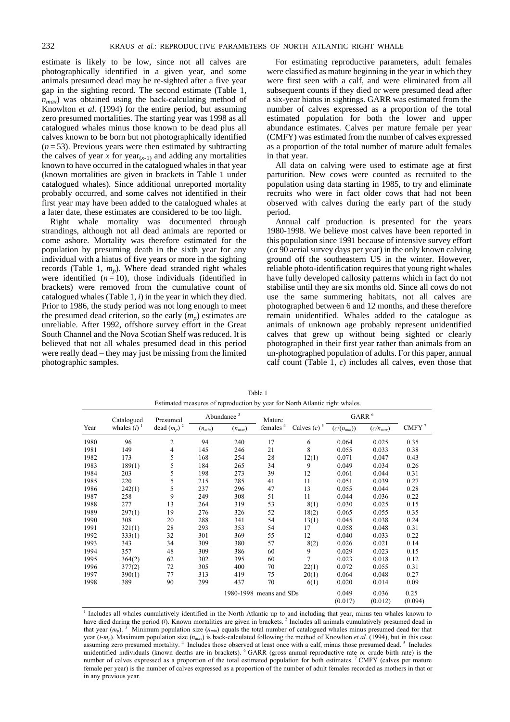estimate is likely to be low, since not all calves are photographically identified in a given year, and some animals presumed dead may be re-sighted after a five year gap in the sighting record. The second estimate (Table 1,  $n_{max}$ ) was obtained using the back-calculating method of Knowlton *et al.* (1994) for the entire period, but assuming zero presumed mortalities. The starting year was 1998 as all catalogued whales minus those known to be dead plus all calves known to be born but not photographically identified  $(n=53)$ . Previous years were then estimated by subtracting the calves of year *x* for year<sub> $(x-1)$ </sub> and adding any mortalities known to have occurred in the catalogued whales in that year (known mortalities are given in brackets in Table 1 under catalogued whales). Since additional unreported mortality probably occurred, and some calves not identified in their first year may have been added to the catalogued whales at a later date, these estimates are considered to be too high.

Right whale mortality was documented through strandings, although not all dead animals are reported or come ashore. Mortality was therefore estimated for the population by presuming death in the sixth year for any individual with a hiatus of five years or more in the sighting records (Table 1,  $m<sub>n</sub>$ ). Where dead stranded right whales were identified  $(n = 10)$ , those individuals (identified in brackets) were removed from the cumulative count of catalogued whales (Table 1, *i*) in the year in which they died. Prior to 1986, the study period was not long enough to meet the presumed dead criterion, so the early  $(m<sub>n</sub>)$  estimates are unreliable. After 1992, offshore survey effort in the Great South Channel and the Nova Scotian Shelf was reduced. It is believed that not all whales presumed dead in this period were really dead – they may just be missing from the limited photographic samples.

For estimating reproductive parameters, adult females were classified as mature beginning in the year in which they were first seen with a calf, and were eliminated from all subsequent counts if they died or were presumed dead after a six-year hiatus in sightings. GARR was estimated from the number of calves expressed as a proportion of the total estimated population for both the lower and upper abundance estimates. Calves per mature female per year (CMFY) was estimated from the number of calves expressed as a proportion of the total number of mature adult females in that year.

All data on calving were used to estimate age at first parturition. New cows were counted as recruited to the population using data starting in 1985, to try and eliminate recruits who were in fact older cows that had not been observed with calves during the early part of the study period.

Annual calf production is presented for the years 1980-1998. We believe most calves have been reported in this population since 1991 because of intensive survey effort (*ca* 90 aerial survey days per year) in the only known calving ground off the southeastern US in the winter. However, reliable photo-identification requires that young right whales have fully developed callosity patterns which in fact do not stabilise until they are six months old. Since all cows do not use the same summering habitats, not all calves are photographed between 6 and 12 months, and these therefore remain unidentified. Whales added to the catalogue as animals of unknown age probably represent unidentified calves that grew up without being sighted or clearly photographed in their first year rather than animals from an un-photographed population of adults. For this paper, annual calf count (Table 1, *c*) includes all calves, even those that

|      | Catalogued<br>whales $(i)$ <sup>1</sup> | Presumed       |             | Abundance <sup>3</sup> |                                |                           | GARR <sup>6</sup> |                  |                 |
|------|-----------------------------------------|----------------|-------------|------------------------|--------------------------------|---------------------------|-------------------|------------------|-----------------|
| Year |                                         | dead $(m_p)^2$ | $(n_{min})$ | $(n_{max})$            | Mature<br>females <sup>4</sup> | Calves $(c)$ <sup>5</sup> | $(c/(n_{min}))$   | $(c/n_{max})$    | CMFY $^7$       |
| 1980 | 96                                      | 2              | 94          | 240                    | 17                             | 6                         | 0.064             | 0.025            | 0.35            |
| 1981 | 149                                     | 4              | 145         | 246                    | 21                             | 8                         | 0.055             | 0.033            | 0.38            |
| 1982 | 173                                     | 5              | 168         | 254                    | 28                             | 12(1)                     | 0.071             | 0.047            | 0.43            |
| 1983 | 189(1)                                  | 5              | 184         | 265                    | 34                             | 9                         | 0.049             | 0.034            | 0.26            |
| 1984 | 203                                     | 5              | 198         | 273                    | 39                             | 12                        | 0.061             | 0.044            | 0.31            |
| 1985 | 220                                     | 5              | 215         | 285                    | 41                             | 11                        | 0.051             | 0.039            | 0.27            |
| 1986 | 242(1)                                  | 5              | 237         | 296                    | 47                             | 13                        | 0.055             | 0.044            | 0.28            |
| 1987 | 258                                     | 9              | 249         | 308                    | 51                             | 11                        | 0.044             | 0.036            | 0.22            |
| 1988 | 277                                     | 13             | 264         | 319                    | 53                             | 8(1)                      | 0.030             | 0.025            | 0.15            |
| 1989 | 297(1)                                  | 19             | 276         | 326                    | 52                             | 18(2)                     | 0.065             | 0.055            | 0.35            |
| 1990 | 308                                     | 20             | 288         | 341                    | 54                             | 13(1)                     | 0.045             | 0.038            | 0.24            |
| 1991 | 321(1)                                  | 28             | 293         | 353                    | 54                             | 17                        | 0.058             | 0.048            | 0.31            |
| 1992 | 333(1)                                  | 32             | 301         | 369                    | 55                             | 12                        | 0.040             | 0.033            | 0.22            |
| 1993 | 343                                     | 34             | 309         | 380                    | 57                             | 8(2)                      | 0.026             | 0.021            | 0.14            |
| 1994 | 357                                     | 48             | 309         | 386                    | 60                             | 9                         | 0.029             | 0.023            | 0.15            |
| 1995 | 364(2)                                  | 62             | 302         | 395                    | 60                             | 7                         | 0.023             | 0.018            | 0.12            |
| 1996 | 377(2)                                  | 72             | 305         | 400                    | 70                             | 22(1)                     | 0.072             | 0.055            | 0.31            |
| 1997 | 390(1)                                  | 77             | 313         | 419                    | 75                             | 20(1)                     | 0.064             | 0.048            | 0.27            |
| 1998 | 389                                     | 90             | 299         | 437                    | 70                             | 6(1)                      | 0.020             | 0.014            | 0.09            |
|      |                                         |                |             |                        | 1980-1998 means and SDs        |                           | 0.049<br>(0.017)  | 0.036<br>(0.012) | 0.25<br>(0.094) |

Table 1 Estimated measures of reproduction by year for North Atlantic right whales.

<sup>1</sup> Includes all whales cumulatively identified in the North Atlantic up to and including that year, minus ten whales known to have died during the period (*i*). Known mortalities are given in brackets.<sup>2</sup> Includes all animals cumulatively presumed dead in that year  $(m_p)$ .<sup>3</sup> Minimum population size  $(n_{min})$  equals the total number of catalogued whales minus presumed dead for that year  $(i-m<sub>p</sub>)$ . Maximum population size  $(n_{max})$  is back-calculated following the method of Knowlton *et al.* (1994), but in this case assuming zero presumed mortality.<sup>4</sup> Includes those observed at least once with a calf, minus those presumed dead.<sup>5</sup> Includes unidentified individuals (known deaths are in brackets). <sup>6</sup> GARR (gross annual reproductive rate or crude birth rate) is the number of calves expressed as a proportion of the total estimated population for both estimates. <sup>7</sup> CMFY (calves per mature female per year) is the number of calves expressed as a proportion of the number of adult females recorded as mothers in that or in any previous year.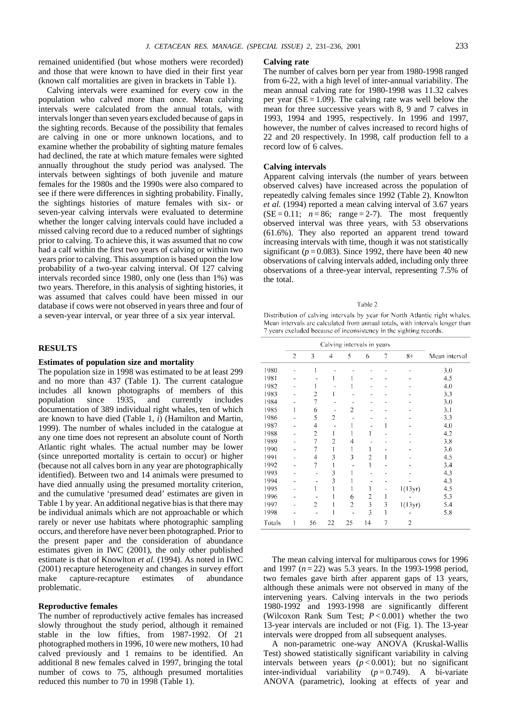remained unidentified (but whose mothers were recorded) and those that were known to have died in their first year (known calf mortalities are given in brackets in Table 1).

Calving intervals were examined for every cow in the population who calved more than once. Mean calving intervals were calculated from the annual totals, with intervals longer than seven years excluded because of gaps in the sighting records. Because of the possibility that females are calving in one or more unknown locations, and to examine whether the probability of sighting mature females had declined, the rate at which mature females were sighted annually throughout the study period was analysed. The intervals between sightings of both juvenile and mature females for the 1980s and the 1990s were also compared to see if there were differences in sighting probability. Finally, the sightings histories of mature females with six- or seven-year calving intervals were evaluated to determine whether the longer calving intervals could have included a missed calving record due to a reduced number of sightings prior to calving. To achieve this, it was assumed that no cow had a calf within the first two years of calving or within two years prior to calving. This assumption is based upon the low probability of a two-year calving interval. Of 127 calving intervals recorded since 1980, only one (less than 1%) was two years. Therefore, in this analysis of sighting histories, it was assumed that calves could have been missed in our database if cows were not observed in years three and four of a seven-year interval, or year three of a six year interval.

# **RESULTS**

## **Estimates of population size and mortality**

The population size in 1998 was estimated to be at least 299 and no more than 437 (Table 1). The current catalogue includes all known photographs of members of this population since 1935, and currently includes documentation of 389 individual right whales, ten of which are known to have died (Table 1, *i*) (Hamilton and Martin, 1999). The number of whales included in the catalogue at any one time does not represent an absolute count of North Atlantic right whales. The actual number may be lower (since unreported mortality is certain to occur) or higher (because not all calves born in any year are photographically identified). Between two and 14 animals were presumed to have died annually using the presumed mortality criterion, and the cumulative 'presumed dead' estimates are given in Table 1 by year. An additional negative bias is that there may be individual animals which are not approachable or which rarely or never use habitats where photographic sampling occurs, and therefore have never been photographed. Prior to the present paper and the consideration of abundance estimates given in IWC (2001), the only other published estimate is that of Knowlton *et al.* (1994). As noted in IWC (2001) recapture heterogeneity and changes in survey effort make capture-recapture estimates of abundance problematic.

## **Reproductive females**

The number of reproductively active females has increased slowly throughout the study period, although it remained stable in the low fifties, from 1987-1992. Of 21 photographed mothers in 1996, 10 were new mothers, 10 had calved previously and 1 remains to be identified. An additional 8 new females calved in 1997, bringing the total number of cows to 75, although presumed mortalities reduced this number to 70 in 1998 (Table 1).

### **Calving rate**

The number of calves born per year from 1980-1998 ranged from 6-22, with a high level of inter-annual variability. The mean annual calving rate for 1980-1998 was 11.32 calves per year  $(SE = 1.09)$ . The calving rate was well below the mean for three successive years with 8, 9 and 7 calves in 1993, 1994 and 1995, respectively. In 1996 and 1997, however, the number of calves increased to record highs of 22 and 20 respectively. In 1998, calf production fell to a record low of 6 calves.

## **Calving intervals**

Apparent calving intervals (the number of years between observed calves) have increased across the population of repeatedly calving females since 1992 (Table 2). Knowlton *et al.* (1994) reported a mean calving interval of 3.67 years  $(SE = 0.11; n = 86; range = 2-7)$ . The most frequently observed interval was three years, with 53 observations (61.6%). They also reported an apparent trend toward increasing intervals with time, though it was not statistically significant ( $p = 0.083$ ). Since 1992, there have been 40 new observations of calving intervals added, including only three observations of a three-year interval, representing 7.5% of the total.

#### Table 2

Distribution of calving intervals by year for North Atlantic right whales. Mean intervals are calculated from annual totals, with intervals longer than 7 years excluded because of inconsistency in the sighting records.

|        |                | Calving intervals in years |                |                |    |   |         |               |
|--------|----------------|----------------------------|----------------|----------------|----|---|---------|---------------|
|        | $\overline{2}$ | 3                          | 4              | 5              | 6  | 7 | $8+$    | Mean interval |
| 1980   |                | 1                          |                |                |    |   |         | 3.0           |
| 1981   |                |                            |                |                |    |   |         | 4.5           |
| 1982   |                |                            |                |                |    |   |         | 4.0           |
| 1983   |                | 2                          |                |                |    |   |         | 3.3           |
| 1984   |                | $\overline{7}$             |                |                |    |   |         | 3.0           |
| 1985   | 1              | 6                          |                | 2              |    |   |         | 3,1           |
| 1986   |                | 5                          | $\overline{2}$ |                |    |   |         | 3.3           |
| 1987   |                | 4                          |                |                |    | 1 |         | 4.0           |
| 1988   |                | $\overline{c}$             |                |                |    |   |         | 4.2           |
| 1989   |                | $\overline{7}$             | $\overline{2}$ | 4              |    |   |         | 3.8           |
| 1990   |                |                            |                | 1              |    |   |         | 3.6           |
| 1991   |                | 4                          | 3              | 3              | 2  | 1 |         | 4.5           |
| 1992   |                | $\overline{7}$             | 1              |                | 1  |   |         | 3,4           |
| 1993   |                |                            | 3              |                |    |   |         | 4.3           |
| 1994   |                |                            | 3              |                |    |   |         | 4.3           |
| 1995   |                |                            |                |                | 1  |   | 1(13yr) | 4.5           |
| 1996   |                |                            |                | 6              | 2  | 1 |         | 5.3           |
| 1997   |                | $\overline{c}$             |                | $\overline{2}$ | 3  | 3 | 1(13yr) | 5.4           |
| 1998   |                |                            |                |                | 3  |   |         | 5.8           |
| Totals | 1              | 56                         | 22             | 25             | 14 | 7 | 2       |               |

The mean calving interval for multiparous cows for 1996 and 1997 (*n* = 22) was 5.3 years. In the 1993-1998 period, two females gave birth after apparent gaps of 13 years, although these animals were not observed in many of the intervening years. Calving intervals in the two periods 1980-1992 and 1993-1998 are significantly different (Wilcoxon Rank Sum Test; *P* < 0.001) whether the two 13-year intervals are included or not (Fig. 1). The 13-year intervals were dropped from all subsequent analyses.

A non-parametric one-way ANOVA (Kruskal-Wallis Test) showed statistically significant variability in calving intervals between years  $(p < 0.001)$ ; but no significant inter-individual variability  $(p=0.749)$ . A bi-variate ANOVA (parametric), looking at effects of year and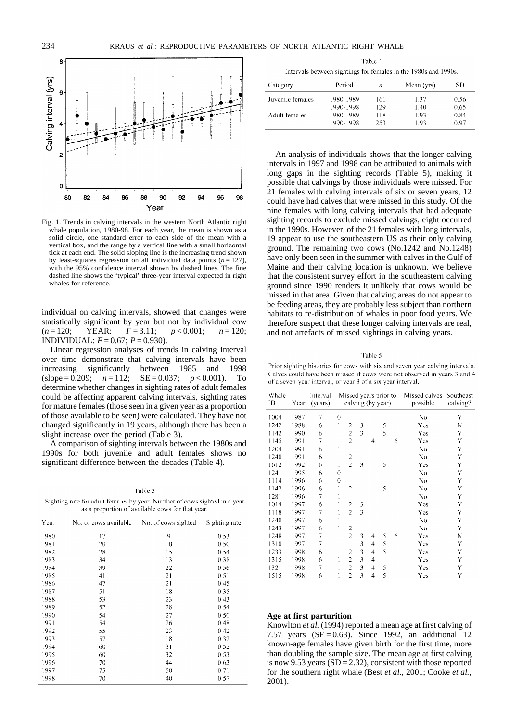

Fig. 1. Trends in calving intervals in the western North Atlantic right whale population, 1980-98. For each year, the mean is shown as a solid circle, one standard error to each side of the mean with a vertical box, and the range by a vertical line with a small horizontal tick at each end. The solid sloping line is the increasing trend shown by least-squares regression on all individual data points  $(n = 127)$ . with the 95% confidence interval shown by dashed lines. The fine dashed line shows the 'typical' three-year interval expected in right whales for reference.

individual on calving intervals, showed that changes were statistically significant by year but not by individual cow (*n* = 120; YEAR: *F* = 3.11; *p* < 0.001; *n* = 120; **INDIVIDUAL:**  $F = 0.67$ ;  $P = 0.930$ ).

Linear regression analyses of trends in calving interval over time demonstrate that calving intervals have been increasing significantly between 1985 and 1998 (slope = 0.209; *n* = 112; SE = 0.037; *p* < 0.001). To determine whether changes in sighting rates of adult females could be affecting apparent calving intervals, sighting rates for mature females (those seen in a given year as a proportion of those available to be seen) were calculated. They have not changed significantly in 19 years, although there has been a slight increase over the period (Table 3).

A comparison of sighting intervals between the 1980s and 1990s for both juvenile and adult females shows no significant difference between the decades (Table 4).

Sighting rate for adult females by year. Number of cows sighted in a year as a proportion of available cows for that year.

| Year | No. of cows available | No. of cows sighted | Sighting rate |
|------|-----------------------|---------------------|---------------|
| 1980 | 17                    | 9                   | 0.53          |
| 1981 | 20                    | 10                  | 0.50          |
| 1982 | 28                    | 15                  | 0.54          |
| 1983 | 34                    | 13                  | 0.38          |
| 1984 | 39                    | 22                  | 0.56          |
| 1985 | 41                    | 21                  | 0.51          |
| 1986 | 47                    | 21                  | 0.45          |
| 1987 | 51                    | 18                  | 0.35          |
| 1988 | 53                    | 23                  | 0.43          |
| 1989 | 52                    | 28                  | 0.54          |
| 1990 | 54                    | 27                  | 0.50          |
| 1991 | 54                    | 26                  | 0.48          |
| 1992 | 55                    | 23                  | 0.42          |
| 1993 | 57                    | 18                  | 0.32          |
| 1994 | 60                    | 31                  | 0.52          |
| 1995 | 60                    | 32                  | 0.53          |
| 1996 | 70                    | 44                  | 0.63          |
| 1997 | 75                    | 50                  | 0.71          |
| 1998 | 70                    | 40                  | 0.57          |

Table 4 Intervals between sightings for females in the 1980s and 1990s.

| Category         | Period    | п   | Mean (yrs) | SD   |
|------------------|-----------|-----|------------|------|
| Juvenile females | 1980-1989 | 161 | 1.37       | 0.56 |
|                  | 1990-1998 | 129 | 1.40       | 0.65 |
| Adult females    | 1980-1989 | 118 | 1.93       | 0.84 |
|                  | 1990-1998 | 253 | 1.93       | 0.97 |

An analysis of individuals shows that the longer calving intervals in 1997 and 1998 can be attributed to animals with long gaps in the sighting records (Table 5), making it possible that calvings by those individuals were missed. For 21 females with calving intervals of six or seven years, 12 could have had calves that were missed in this study. Of the nine females with long calving intervals that had adequate sighting records to exclude missed calvings, eight occurred in the 1990s. However, of the 21 females with long intervals, 19 appear to use the southeastern US as their only calving ground. The remaining two cows (No.1242 and No.1248) have only been seen in the summer with calves in the Gulf of Maine and their calving location is unknown. We believe that the consistent survey effort in the southeastern calving ground since 1990 renders it unlikely that cows would be missed in that area. Given that calving areas do not appear to be feeding areas, they are probably less subject than northern habitats to re-distribution of whales in poor food years. We therefore suspect that these longer calving intervals are real, and not artefacts of missed sightings in calving years.

Table 5

Prior sighting histories for cows with six and seven year calving intervals. Calves could have been missed if cows were not observed in years 3 and 4 of a seven-year interval, or year 3 of a six year interval.

| Whale<br>ID | Year | Interval<br>(years) |                  | Missed years prior to<br>calving (by year) |   | Missed calves<br>possible | Southeast<br>calving? |   |     |   |
|-------------|------|---------------------|------------------|--------------------------------------------|---|---------------------------|-----------------------|---|-----|---|
| 1004        | 1987 | 7                   | $\theta$         |                                            |   |                           |                       |   | No  | Y |
| 1242        | 1988 | 6                   | 1                | $\overline{c}$                             | 3 |                           | 5                     |   | Yes | N |
| 1142        | 1990 | 6                   |                  | $\overline{2}$                             | 3 |                           | 5                     |   | Yes | Y |
| 1145        | 1991 | $\overline{7}$      | 1                | $\overline{2}$                             |   | 4                         |                       | 6 | Yes | Y |
| 1204        | 1991 | 6                   | 1                |                                            |   |                           |                       |   | No  | Y |
| 1240        | 1991 | 6                   | 1                | $\overline{c}$                             |   |                           |                       |   | No  | Y |
| 1612        | 1992 | 6                   | 1                | $\overline{2}$                             | 3 |                           | 5                     |   | Yes | Y |
| 1241        | 1995 | 6                   | $\theta$         |                                            |   |                           |                       |   | No  | Y |
| 1114        | 1996 | 6                   | $\boldsymbol{0}$ |                                            |   |                           |                       |   | No  | Y |
| 1142        | 1996 | 6                   | 1                | $\overline{2}$                             |   |                           | 5                     |   | No  | Y |
| 1281        | 1996 | 7                   | 1                |                                            |   |                           |                       |   | No  | Y |
| 1014        | 1997 | 6                   | 1                | $\overline{c}$                             | 3 |                           |                       |   | Yes | Y |
| 1118        | 1997 | 7                   | 1                | $\overline{2}$                             | 3 |                           |                       |   | Yes | Y |
| 1240        | 1997 | 6                   | 1                |                                            |   |                           |                       |   | No  | Y |
| 1243        | 1997 | 6                   | 1                | $\overline{2}$                             |   |                           |                       |   | No  | Y |
| 1248        | 1997 | 7                   | 1                | $\overline{2}$                             | 3 | 4                         | 5                     | 6 | Yes | N |
| 1310        | 1997 | 7                   | 1                |                                            | 3 | 4                         | 5                     |   | Yes | Y |
| 1233        | 1998 | 6                   | 1                | $\overline{2}$                             | 3 | 4                         | 5                     |   | Yes | Y |
| 1315        | 1998 | 6                   | 1                | $\overline{2}$                             | 3 | 4                         |                       |   | Yes | Y |
| 1321        | 1998 | 7                   | 1                | $\overline{2}$                             | 3 | 4                         | 5                     |   | Yes | Y |
| 1515        | 1998 | 6                   | 1                | $\overline{2}$                             | 3 | 4                         | 5                     |   | Yes | Y |

## **Age at first parturition**

Knowlton *et al.* (1994) reported a mean age at first calving of 7.57 years  $(SE = 0.63)$ . Since 1992, an additional 12 known-age females have given birth for the first time, more than doubling the sample size. The mean age at first calving is now 9.53 years  $(SD = 2.32)$ , consistent with those reported for the southern right whale (Best *et al.*, 2001; Cooke *et al.*, 2001).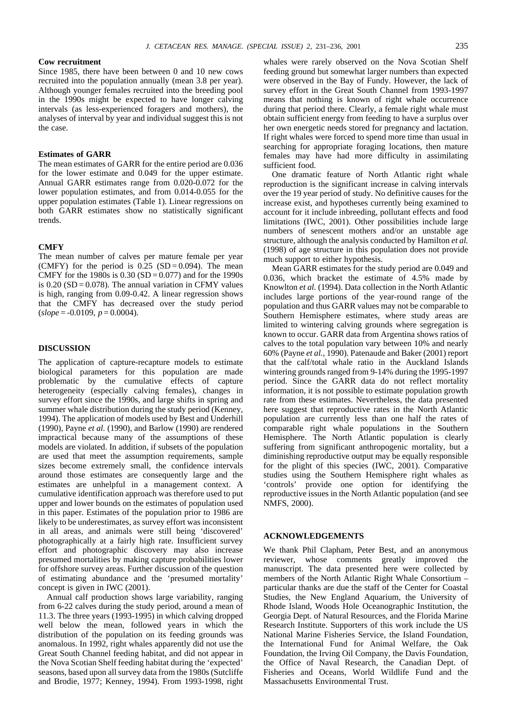## **Cow recruitment**

Since 1985, there have been between 0 and 10 new cows recruited into the population annually (mean 3.8 per year). Although younger females recruited into the breeding pool in the 1990s might be expected to have longer calving intervals (as less-experienced foragers and mothers), the analyses of interval by year and individual suggest this is not the case.

# **Estimates of GARR**

The mean estimates of GARR for the entire period are 0.036 for the lower estimate and 0.049 for the upper estimate. Annual GARR estimates range from 0.020-0.072 for the lower population estimates, and from 0.014-0.055 for the upper population estimates (Table 1). Linear regressions on both GARR estimates show no statistically significant trends.

## **CMFY**

The mean number of calves per mature female per year (CMFY) for the period is  $0.25$  (SD = 0.094). The mean CMFY for the 1980s is  $0.30$  (SD = 0.077) and for the 1990s is  $0.20$  (SD =  $0.078$ ). The annual variation in CFMY values is high, ranging from 0.09-0.42. A linear regression shows that the CMFY has decreased over the study period  $(slope = -0.0109, p = 0.0004).$ 

## **DISCUSSION**

The application of capture-recapture models to estimate biological parameters for this population are made problematic by the cumulative effects of capture heterogeneity (especially calving females), changes in survey effort since the 1990s, and large shifts in spring and summer whale distribution during the study period (Kenney, 1994). The application of models used by Best and Underhill (1990), Payne *et al.* (1990), and Barlow (1990) are rendered impractical because many of the assumptions of these models are violated. In addition, if subsets of the population are used that meet the assumption requirements, sample sizes become extremely small, the confidence intervals around those estimates are consequently large and the estimates are unhelpful in a management context. A cumulative identification approach was therefore used to put upper and lower bounds on the estimates of population used in this paper. Estimates of the population prior to 1986 are likely to be underestimates, as survey effort was inconsistent in all areas, and animals were still being 'discovered' photographically at a fairly high rate. Insufficient survey effort and photographic discovery may also increase presumed mortalities by making capture probabilities lower for offshore survey areas. Further discussion of the question of estimating abundance and the 'presumed mortality' concept is given in IWC (2001).

Annual calf production shows large variability, ranging from 6-22 calves during the study period, around a mean of 11.3. The three years (1993-1995) in which calving dropped well below the mean, followed years in which the distribution of the population on its feeding grounds was anomalous. In 1992, right whales apparently did not use the Great South Channel feeding habitat, and did not appear in the Nova Scotian Shelf feeding habitat during the 'expected' seasons, based upon all survey data from the 1980s (Sutcliffe and Brodie, 1977; Kenney, 1994). From 1993-1998, right

whales were rarely observed on the Nova Scotian Shelf feeding ground but somewhat larger numbers than expected were observed in the Bay of Fundy. However, the lack of survey effort in the Great South Channel from 1993-1997 means that nothing is known of right whale occurrence during that period there. Clearly, a female right whale must obtain sufficient energy from feeding to have a surplus over her own energetic needs stored for pregnancy and lactation. If right whales were forced to spend more time than usual in searching for appropriate foraging locations, then mature females may have had more difficulty in assimilating sufficient food.

One dramatic feature of North Atlantic right whale reproduction is the significant increase in calving intervals over the 19 year period of study. No definitive causes for the increase exist, and hypotheses currently being examined to account for it include inbreeding, pollutant effects and food limitations (IWC, 2001). Other possibilities include large numbers of senescent mothers and/or an unstable age structure, although the analysis conducted by Hamilton *et al.* (1998) of age structure in this population does not provide much support to either hypothesis.

Mean GARR estimates for the study period are 0.049 and 0.036, which bracket the estimate of 4.5% made by Knowlton *et al.* (1994). Data collection in the North Atlantic includes large portions of the year-round range of the population and thus GARR values may not be comparable to Southern Hemisphere estimates, where study areas are limited to wintering calving grounds where segregation is known to occur. GARR data from Argentina shows ratios of calves to the total population vary between 10% and nearly 60% (Payne *et al.*, 1990). Patenaude and Baker (2001) report that the calf/total whale ratio in the Auckland Islands wintering grounds ranged from 9-14% during the 1995-1997 period. Since the GARR data do not reflect mortality information, it is not possible to estimate population growth rate from these estimates. Nevertheless, the data presented here suggest that reproductive rates in the North Atlantic population are currently less than one half the rates of comparable right whale populations in the Southern Hemisphere. The North Atlantic population is clearly suffering from significant anthropogenic mortality, but a diminishing reproductive output may be equally responsible for the plight of this species (IWC, 2001). Comparative studies using the Southern Hemisphere right whales as 'controls' provide one option for identifying the reproductive issues in the North Atlantic population (and see NMFS, 2000).

## **ACKNOWLEDGEMENTS**

We thank Phil Clapham, Peter Best, and an anonymous reviewer, whose comments greatly improved the manuscript. The data presented here were collected by members of the North Atlantic Right Whale Consortium – particular thanks are due the staff of the Center for Coastal Studies, the New England Aquarium, the University of Rhode Island, Woods Hole Oceanographic Institution, the Georgia Dept. of Natural Resources, and the Florida Marine Research Institute. Supporters of this work include the US National Marine Fisheries Service, the Island Foundation, the International Fund for Animal Welfare, the Oak Foundation, the Irving Oil Company, the Davis Foundation, the Office of Naval Research, the Canadian Dept. of Fisheries and Oceans, World Wildlife Fund and the Massachusetts Environmental Trust.